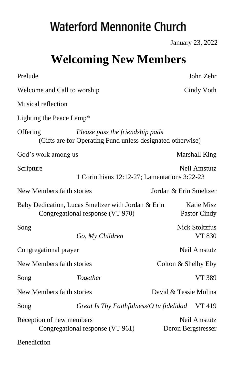# **Waterford Mennonite Church**

January 23, 2022

## **Welcoming New Members**

| Prelude                                                      |                                                                                               |                        | John Zehr                         |
|--------------------------------------------------------------|-----------------------------------------------------------------------------------------------|------------------------|-----------------------------------|
| Welcome and Call to worship                                  |                                                                                               |                        | Cindy Voth                        |
| Musical reflection                                           |                                                                                               |                        |                                   |
| Lighting the Peace Lamp*                                     |                                                                                               |                        |                                   |
| Offering                                                     | Please pass the friendship pads<br>(Gifts are for Operating Fund unless designated otherwise) |                        |                                   |
| God's work among us                                          |                                                                                               |                        | Marshall King                     |
| Scripture                                                    | 1 Corinthians 12:12-27; Lamentations 3:22-23                                                  |                        | <b>Neil Amstutz</b>               |
| New Members faith stories                                    |                                                                                               | Jordan & Erin Smeltzer |                                   |
|                                                              | Baby Dedication, Lucas Smeltzer with Jordan & Erin<br>Congregational response (VT 970)        |                        | <b>Katie Misz</b><br>Pastor Cindy |
| Song                                                         | Go, My Children                                                                               |                        | <b>Nick Stoltzfus</b><br>VT 830   |
| Congregational prayer                                        |                                                                                               |                        | Neil Amstutz                      |
| New Members faith stories                                    |                                                                                               | Colton & Shelby Eby    |                                   |
| Song                                                         | Together                                                                                      |                        | VT 389                            |
| New Members faith stories                                    |                                                                                               | David & Tessie Molina  |                                   |
| Song                                                         | Great Is Thy Faithfulness/O tu fidelidad VT 419                                               |                        |                                   |
| Reception of new members<br>Congregational response (VT 961) |                                                                                               | Deron Bergstresser     | Neil Amstutz                      |
| Benediction                                                  |                                                                                               |                        |                                   |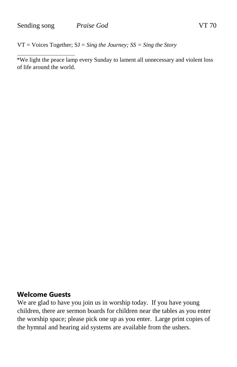VT = Voices Together; SJ = *Sing the Journey; SS = Sing the Story* 

\*We light the peace lamp every Sunday to lament all unnecessary and violent loss of life around the world.

#### **Welcome Guests**

We are glad to have you join us in worship today. If you have young children, there are sermon boards for children near the tables as you enter the worship space; please pick one up as you enter. Large print copies of the hymnal and hearing aid systems are available from the ushers.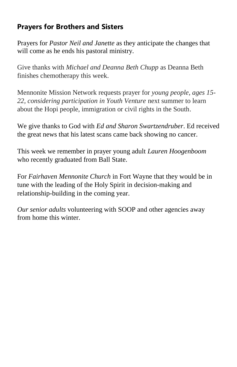## **Prayers for Brothers and Sisters**

Prayers for *Pastor Neil and Janette* as they anticipate the changes that will come as he ends his pastoral ministry.

Give thanks with *Michael and Deanna Beth Chupp* as Deanna Beth finishes chemotherapy this week.

Mennonite Mission Network requests prayer for *young people, ages 15- 22, considering participation in Youth Venture* next summer to learn about the Hopi people, immigration or civil rights in the South.

We give thanks to God with *Ed and Sharon Swartzendruber*. Ed received the great news that his latest scans came back showing no cancer.

This week we remember in prayer young adult *Lauren Hoogenboom*  who recently graduated from Ball State.

For *Fairhaven Mennonite Church* in Fort Wayne that they would be in tune with the leading of the Holy Spirit in decision-making and relationship-building in the coming year.

*Our senior adults* volunteering with SOOP and other agencies away from home this winter.